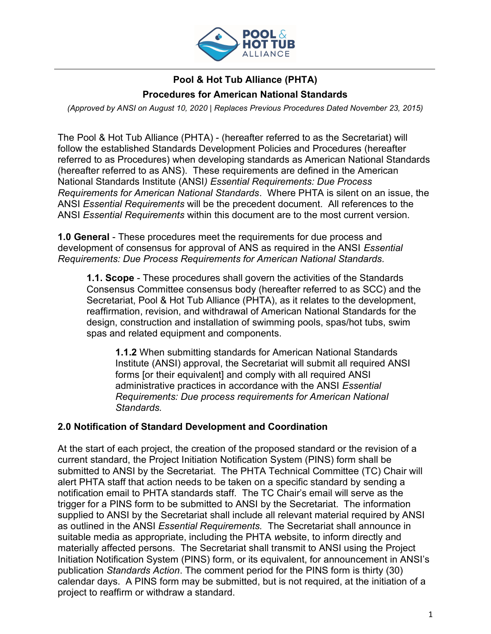

# Pool & Hot Tub Alliance (PHTA) Procedures for American National Standards

(Approved by ANSI on August 10, 2020 | Replaces Previous Procedures Dated November 23, 2015)

The Pool & Hot Tub Alliance (PHTA) - (hereafter referred to as the Secretariat) will follow the established Standards Development Policies and Procedures (hereafter referred to as Procedures) when developing standards as American National Standards (hereafter referred to as ANS). These requirements are defined in the American National Standards Institute (ANSI) Essential Requirements: Due Process Requirements for American National Standards. Where PHTA is silent on an issue, the ANSI Essential Requirements will be the precedent document. All references to the ANSI Essential Requirements within this document are to the most current version.

1.0 General - These procedures meet the requirements for due process and development of consensus for approval of ANS as required in the ANSI Essential Requirements: Due Process Requirements for American National Standards.

1.1. Scope - These procedures shall govern the activities of the Standards Consensus Committee consensus body (hereafter referred to as SCC) and the Secretariat, Pool & Hot Tub Alliance (PHTA), as it relates to the development, reaffirmation, revision, and withdrawal of American National Standards for the design, construction and installation of swimming pools, spas/hot tubs, swim spas and related equipment and components.

1.1.2 When submitting standards for American National Standards Institute (ANSI) approval, the Secretariat will submit all required ANSI forms [or their equivalent] and comply with all required ANSI administrative practices in accordance with the ANSI Essential Requirements: Due process requirements for American National Standards.

#### 2.0 Notification of Standard Development and Coordination

At the start of each project, the creation of the proposed standard or the revision of a current standard, the Project Initiation Notification System (PINS) form shall be submitted to ANSI by the Secretariat. The PHTA Technical Committee (TC) Chair will alert PHTA staff that action needs to be taken on a specific standard by sending a notification email to PHTA standards staff. The TC Chair's email will serve as the trigger for a PINS form to be submitted to ANSI by the Secretariat. The information supplied to ANSI by the Secretariat shall include all relevant material required by ANSI as outlined in the ANSI Essential Requirements. The Secretariat shall announce in suitable media as appropriate, including the PHTA website, to inform directly and materially affected persons. The Secretariat shall transmit to ANSI using the Project Initiation Notification System (PINS) form, or its equivalent, for announcement in ANSI's publication Standards Action. The comment period for the PINS form is thirty (30) calendar days. A PINS form may be submitted, but is not required, at the initiation of a project to reaffirm or withdraw a standard.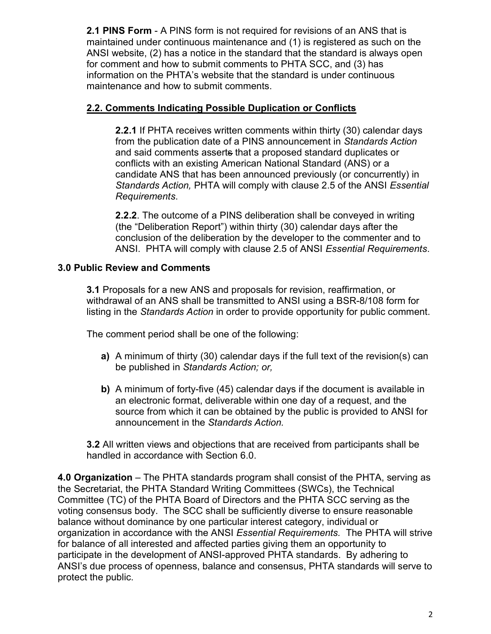2.1 PINS Form - A PINS form is not required for revisions of an ANS that is maintained under continuous maintenance and (1) is registered as such on the ANSI website, (2) has a notice in the standard that the standard is always open for comment and how to submit comments to PHTA SCC, and (3) has information on the PHTA's website that the standard is under continuous maintenance and how to submit comments.

## 2.2. Comments Indicating Possible Duplication or Conflicts

2.2.1 If PHTA receives written comments within thirty (30) calendar days from the publication date of a PINS announcement in Standards Action and said comments asserts that a proposed standard duplicates or conflicts with an existing American National Standard (ANS) or a candidate ANS that has been announced previously (or concurrently) in Standards Action, PHTA will comply with clause 2.5 of the ANSI Essential Requirements.

2.2.2. The outcome of a PINS deliberation shall be conveyed in writing (the "Deliberation Report") within thirty (30) calendar days after the conclusion of the deliberation by the developer to the commenter and to ANSI. PHTA will comply with clause 2.5 of ANSI Essential Requirements.

# 3.0 Public Review and Comments

3.1 Proposals for a new ANS and proposals for revision, reaffirmation, or withdrawal of an ANS shall be transmitted to ANSI using a BSR-8/108 form for listing in the Standards Action in order to provide opportunity for public comment.

The comment period shall be one of the following:

- a) A minimum of thirty (30) calendar days if the full text of the revision(s) can be published in Standards Action; or,
- b) A minimum of forty-five (45) calendar days if the document is available in an electronic format, deliverable within one day of a request, and the source from which it can be obtained by the public is provided to ANSI for announcement in the Standards Action.

3.2 All written views and objections that are received from participants shall be handled in accordance with Section 6.0.

4.0 Organization – The PHTA standards program shall consist of the PHTA, serving as the Secretariat, the PHTA Standard Writing Committees (SWCs), the Technical Committee (TC) of the PHTA Board of Directors and the PHTA SCC serving as the voting consensus body. The SCC shall be sufficiently diverse to ensure reasonable balance without dominance by one particular interest category, individual or organization in accordance with the ANSI *Essential Requirements*. The PHTA will strive for balance of all interested and affected parties giving them an opportunity to participate in the development of ANSI-approved PHTA standards. By adhering to ANSI's due process of openness, balance and consensus, PHTA standards will serve to protect the public.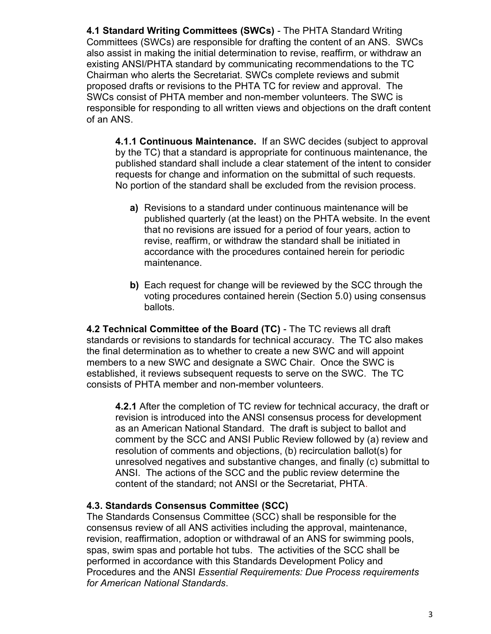4.1 Standard Writing Committees (SWCs) - The PHTA Standard Writing Committees (SWCs) are responsible for drafting the content of an ANS. SWCs also assist in making the initial determination to revise, reaffirm, or withdraw an existing ANSI/PHTA standard by communicating recommendations to the TC Chairman who alerts the Secretariat. SWCs complete reviews and submit proposed drafts or revisions to the PHTA TC for review and approval. The SWCs consist of PHTA member and non-member volunteers. The SWC is responsible for responding to all written views and objections on the draft content of an ANS.

4.1.1 Continuous Maintenance. If an SWC decides (subject to approval by the TC) that a standard is appropriate for continuous maintenance, the published standard shall include a clear statement of the intent to consider requests for change and information on the submittal of such requests. No portion of the standard shall be excluded from the revision process.

- a) Revisions to a standard under continuous maintenance will be published quarterly (at the least) on the PHTA website. In the event that no revisions are issued for a period of four years, action to revise, reaffirm, or withdraw the standard shall be initiated in accordance with the procedures contained herein for periodic maintenance.
- b) Each request for change will be reviewed by the SCC through the voting procedures contained herein (Section 5.0) using consensus ballots.

4.2 Technical Committee of the Board (TC) - The TC reviews all draft standards or revisions to standards for technical accuracy. The TC also makes the final determination as to whether to create a new SWC and will appoint members to a new SWC and designate a SWC Chair. Once the SWC is established, it reviews subsequent requests to serve on the SWC. The TC consists of PHTA member and non-member volunteers.

4.2.1 After the completion of TC review for technical accuracy, the draft or revision is introduced into the ANSI consensus process for development as an American National Standard. The draft is subject to ballot and comment by the SCC and ANSI Public Review followed by (a) review and resolution of comments and objections, (b) recirculation ballot(s) for unresolved negatives and substantive changes, and finally (c) submittal to ANSI. The actions of the SCC and the public review determine the content of the standard; not ANSI or the Secretariat, PHTA.

## 4.3. Standards Consensus Committee (SCC)

The Standards Consensus Committee (SCC) shall be responsible for the consensus review of all ANS activities including the approval, maintenance, revision, reaffirmation, adoption or withdrawal of an ANS for swimming pools, spas, swim spas and portable hot tubs. The activities of the SCC shall be performed in accordance with this Standards Development Policy and Procedures and the ANSI Essential Requirements: Due Process requirements for American National Standards.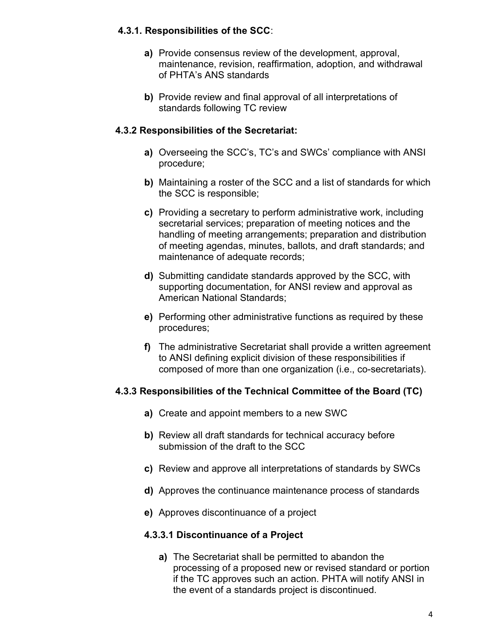#### 4.3.1. Responsibilities of the SCC:

- a) Provide consensus review of the development, approval, maintenance, revision, reaffirmation, adoption, and withdrawal of PHTA's ANS standards
- b) Provide review and final approval of all interpretations of standards following TC review

#### 4.3.2 Responsibilities of the Secretariat:

- a) Overseeing the SCC's, TC's and SWCs' compliance with ANSI procedure;
- b) Maintaining a roster of the SCC and a list of standards for which the SCC is responsible;
- c) Providing a secretary to perform administrative work, including secretarial services; preparation of meeting notices and the handling of meeting arrangements; preparation and distribution of meeting agendas, minutes, ballots, and draft standards; and maintenance of adequate records;
- d) Submitting candidate standards approved by the SCC, with supporting documentation, for ANSI review and approval as American National Standards;
- e) Performing other administrative functions as required by these procedures;
- f) The administrative Secretariat shall provide a written agreement to ANSI defining explicit division of these responsibilities if composed of more than one organization (i.e., co-secretariats).

## 4.3.3 Responsibilities of the Technical Committee of the Board (TC)

- a) Create and appoint members to a new SWC
- b) Review all draft standards for technical accuracy before submission of the draft to the SCC
- c) Review and approve all interpretations of standards by SWCs
- d) Approves the continuance maintenance process of standards
- e) Approves discontinuance of a project

#### 4.3.3.1 Discontinuance of a Project

a) The Secretariat shall be permitted to abandon the processing of a proposed new or revised standard or portion if the TC approves such an action. PHTA will notify ANSI in the event of a standards project is discontinued.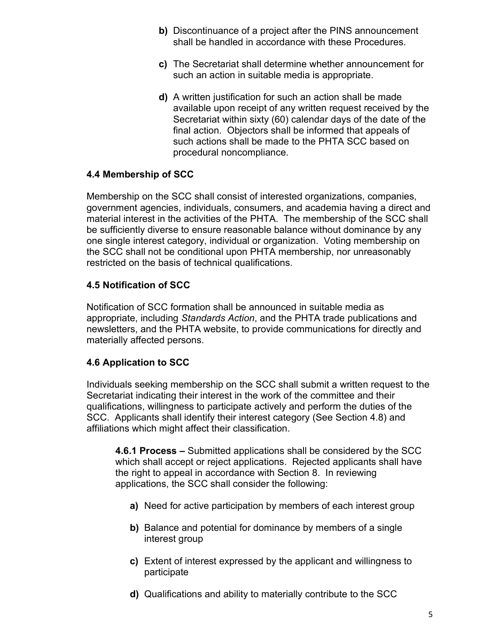- b) Discontinuance of a project after the PINS announcement shall be handled in accordance with these Procedures.
- c) The Secretariat shall determine whether announcement for such an action in suitable media is appropriate.
- d) A written justification for such an action shall be made available upon receipt of any written request received by the Secretariat within sixty (60) calendar days of the date of the final action. Objectors shall be informed that appeals of such actions shall be made to the PHTA SCC based on procedural noncompliance.

## 4.4 Membership of SCC

Membership on the SCC shall consist of interested organizations, companies, government agencies, individuals, consumers, and academia having a direct and material interest in the activities of the PHTA. The membership of the SCC shall be sufficiently diverse to ensure reasonable balance without dominance by any one single interest category, individual or organization. Voting membership on the SCC shall not be conditional upon PHTA membership, nor unreasonably restricted on the basis of technical qualifications.

## 4.5 Notification of SCC

Notification of SCC formation shall be announced in suitable media as appropriate, including Standards Action, and the PHTA trade publications and newsletters, and the PHTA website, to provide communications for directly and materially affected persons.

# 4.6 Application to SCC

Individuals seeking membership on the SCC shall submit a written request to the Secretariat indicating their interest in the work of the committee and their qualifications, willingness to participate actively and perform the duties of the SCC. Applicants shall identify their interest category (See Section 4.8) and affiliations which might affect their classification.

4.6.1 Process – Submitted applications shall be considered by the SCC which shall accept or reject applications. Rejected applicants shall have the right to appeal in accordance with Section 8. In reviewing applications, the SCC shall consider the following:

- a) Need for active participation by members of each interest group
- b) Balance and potential for dominance by members of a single interest group
- c) Extent of interest expressed by the applicant and willingness to participate
- d) Qualifications and ability to materially contribute to the SCC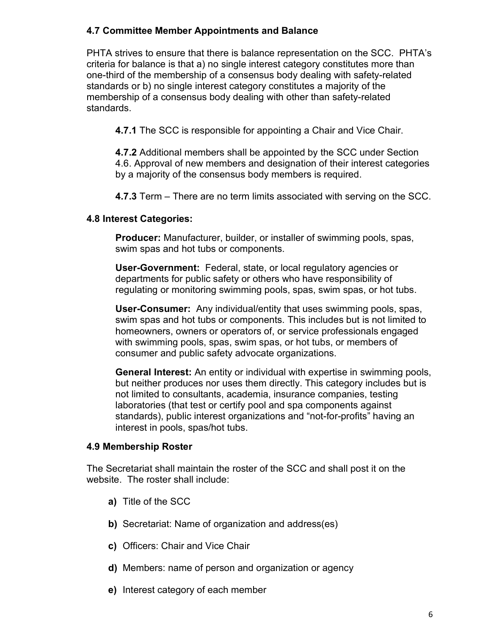#### 4.7 Committee Member Appointments and Balance

PHTA strives to ensure that there is balance representation on the SCC. PHTA's criteria for balance is that a) no single interest category constitutes more than one-third of the membership of a consensus body dealing with safety-related standards or b) no single interest category constitutes a majority of the membership of a consensus body dealing with other than safety-related standards.

**4.7.1** The SCC is responsible for appointing a Chair and Vice Chair.

4.7.2 Additional members shall be appointed by the SCC under Section 4.6. Approval of new members and designation of their interest categories by a majority of the consensus body members is required.

4.7.3 Term – There are no term limits associated with serving on the SCC.

#### 4.8 Interest Categories:

Producer: Manufacturer, builder, or installer of swimming pools, spas, swim spas and hot tubs or components.

User-Government: Federal, state, or local regulatory agencies or departments for public safety or others who have responsibility of regulating or monitoring swimming pools, spas, swim spas, or hot tubs.

User-Consumer: Any individual/entity that uses swimming pools, spas, swim spas and hot tubs or components. This includes but is not limited to homeowners, owners or operators of, or service professionals engaged with swimming pools, spas, swim spas, or hot tubs, or members of consumer and public safety advocate organizations.

General Interest: An entity or individual with expertise in swimming pools, but neither produces nor uses them directly. This category includes but is not limited to consultants, academia, insurance companies, testing laboratories (that test or certify pool and spa components against standards), public interest organizations and "not-for-profits" having an interest in pools, spas/hot tubs.

#### 4.9 Membership Roster

The Secretariat shall maintain the roster of the SCC and shall post it on the website. The roster shall include:

- a) Title of the SCC
- b) Secretariat: Name of organization and address(es)
- c) Officers: Chair and Vice Chair
- d) Members: name of person and organization or agency
- e) Interest category of each member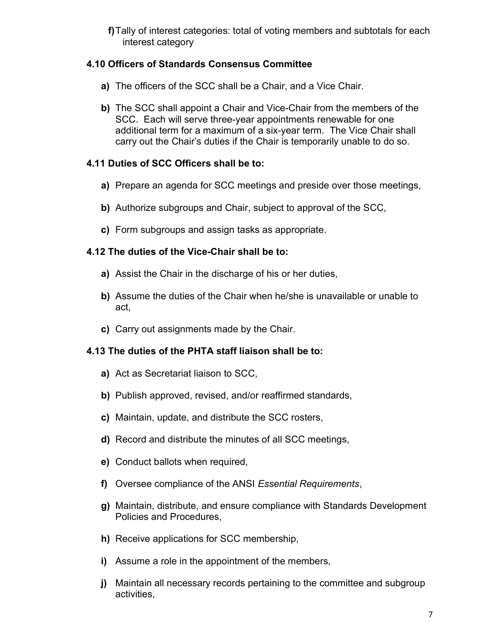f) Tally of interest categories: total of voting members and subtotals for each interest category

## 4.10 Officers of Standards Consensus Committee

- a) The officers of the SCC shall be a Chair, and a Vice Chair.
- b) The SCC shall appoint a Chair and Vice-Chair from the members of the SCC. Each will serve three-year appointments renewable for one additional term for a maximum of a six-year term. The Vice Chair shall carry out the Chair's duties if the Chair is temporarily unable to do so.

# 4.11 Duties of SCC Officers shall be to:

- a) Prepare an agenda for SCC meetings and preside over those meetings,
- b) Authorize subgroups and Chair, subject to approval of the SCC,
- c) Form subgroups and assign tasks as appropriate.

## 4.12 The duties of the Vice-Chair shall be to:

- a) Assist the Chair in the discharge of his or her duties,
- b) Assume the duties of the Chair when he/she is unavailable or unable to act,
- c) Carry out assignments made by the Chair.

## 4.13 The duties of the PHTA staff liaison shall be to:

- a) Act as Secretariat liaison to SCC,
- b) Publish approved, revised, and/or reaffirmed standards,
- c) Maintain, update, and distribute the SCC rosters,
- d) Record and distribute the minutes of all SCC meetings,
- e) Conduct ballots when required,
- f) Oversee compliance of the ANSI Essential Requirements,
- g) Maintain, distribute, and ensure compliance with Standards Development Policies and Procedures,
- h) Receive applications for SCC membership,
- i) Assume a role in the appointment of the members,
- j) Maintain all necessary records pertaining to the committee and subgroup activities,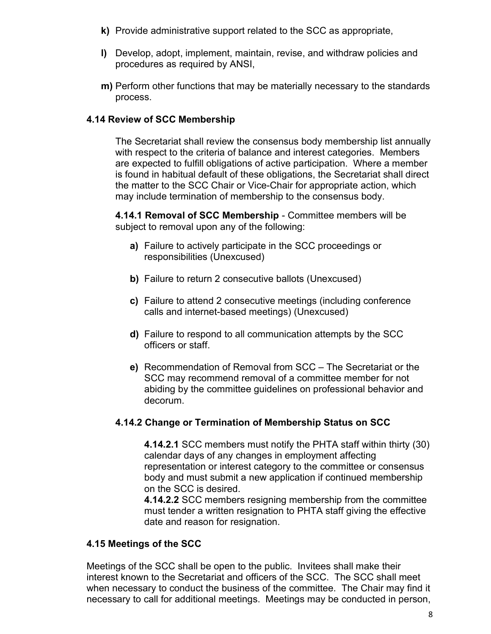- k) Provide administrative support related to the SCC as appropriate,
- l) Develop, adopt, implement, maintain, revise, and withdraw policies and procedures as required by ANSI,
- m) Perform other functions that may be materially necessary to the standards process.

#### 4.14 Review of SCC Membership

The Secretariat shall review the consensus body membership list annually with respect to the criteria of balance and interest categories. Members are expected to fulfill obligations of active participation. Where a member is found in habitual default of these obligations, the Secretariat shall direct the matter to the SCC Chair or Vice-Chair for appropriate action, which may include termination of membership to the consensus body.

4.14.1 Removal of SCC Membership - Committee members will be subject to removal upon any of the following:

- a) Failure to actively participate in the SCC proceedings or responsibilities (Unexcused)
- b) Failure to return 2 consecutive ballots (Unexcused)
- c) Failure to attend 2 consecutive meetings (including conference calls and internet-based meetings) (Unexcused)
- d) Failure to respond to all communication attempts by the SCC officers or staff.
- e) Recommendation of Removal from SCC The Secretariat or the SCC may recommend removal of a committee member for not abiding by the committee guidelines on professional behavior and decorum.

## 4.14.2 Change or Termination of Membership Status on SCC

4.14.2.1 SCC members must notify the PHTA staff within thirty (30) calendar days of any changes in employment affecting representation or interest category to the committee or consensus body and must submit a new application if continued membership on the SCC is desired.

4.14.2.2 SCC members resigning membership from the committee must tender a written resignation to PHTA staff giving the effective date and reason for resignation.

#### 4.15 Meetings of the SCC

Meetings of the SCC shall be open to the public. Invitees shall make their interest known to the Secretariat and officers of the SCC. The SCC shall meet when necessary to conduct the business of the committee. The Chair may find it necessary to call for additional meetings. Meetings may be conducted in person,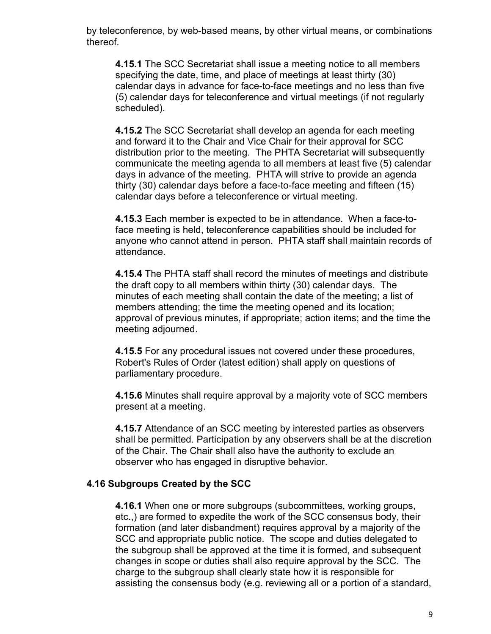by teleconference, by web-based means, by other virtual means, or combinations thereof.

4.15.1 The SCC Secretariat shall issue a meeting notice to all members specifying the date, time, and place of meetings at least thirty (30) calendar days in advance for face-to-face meetings and no less than five (5) calendar days for teleconference and virtual meetings (if not regularly scheduled).

4.15.2 The SCC Secretariat shall develop an agenda for each meeting and forward it to the Chair and Vice Chair for their approval for SCC distribution prior to the meeting. The PHTA Secretariat will subsequently communicate the meeting agenda to all members at least five (5) calendar days in advance of the meeting. PHTA will strive to provide an agenda thirty (30) calendar days before a face-to-face meeting and fifteen (15) calendar days before a teleconference or virtual meeting.

4.15.3 Each member is expected to be in attendance. When a face-toface meeting is held, teleconference capabilities should be included for anyone who cannot attend in person. PHTA staff shall maintain records of attendance.

4.15.4 The PHTA staff shall record the minutes of meetings and distribute the draft copy to all members within thirty (30) calendar days. The minutes of each meeting shall contain the date of the meeting; a list of members attending; the time the meeting opened and its location; approval of previous minutes, if appropriate; action items; and the time the meeting adjourned.

4.15.5 For any procedural issues not covered under these procedures, Robert's Rules of Order (latest edition) shall apply on questions of parliamentary procedure.

**4.15.6** Minutes shall require approval by a majority vote of SCC members present at a meeting.

4.15.7 Attendance of an SCC meeting by interested parties as observers shall be permitted. Participation by any observers shall be at the discretion of the Chair. The Chair shall also have the authority to exclude an observer who has engaged in disruptive behavior.

#### 4.16 Subgroups Created by the SCC

4.16.1 When one or more subgroups (subcommittees, working groups, etc.,) are formed to expedite the work of the SCC consensus body, their formation (and later disbandment) requires approval by a majority of the SCC and appropriate public notice. The scope and duties delegated to the subgroup shall be approved at the time it is formed, and subsequent changes in scope or duties shall also require approval by the SCC. The charge to the subgroup shall clearly state how it is responsible for assisting the consensus body (e.g. reviewing all or a portion of a standard,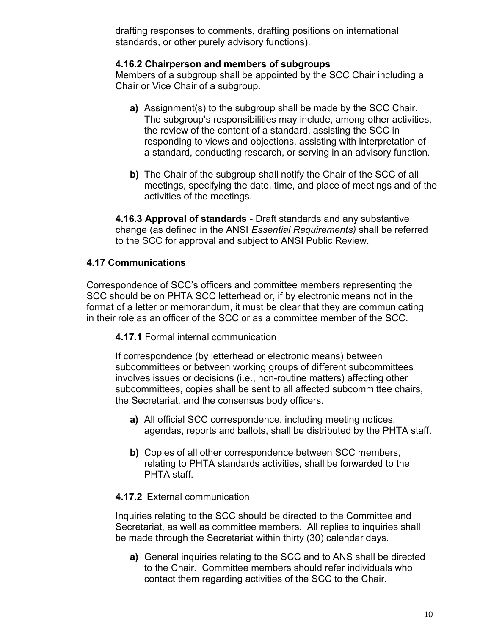drafting responses to comments, drafting positions on international standards, or other purely advisory functions).

#### 4.16.2 Chairperson and members of subgroups

Members of a subgroup shall be appointed by the SCC Chair including a Chair or Vice Chair of a subgroup.

- a) Assignment(s) to the subgroup shall be made by the SCC Chair. The subgroup's responsibilities may include, among other activities, the review of the content of a standard, assisting the SCC in responding to views and objections, assisting with interpretation of a standard, conducting research, or serving in an advisory function.
- b) The Chair of the subgroup shall notify the Chair of the SCC of all meetings, specifying the date, time, and place of meetings and of the activities of the meetings.

4.16.3 Approval of standards - Draft standards and any substantive change (as defined in the ANSI Essential Requirements) shall be referred to the SCC for approval and subject to ANSI Public Review.

## 4.17 Communications

Correspondence of SCC's officers and committee members representing the SCC should be on PHTA SCC letterhead or, if by electronic means not in the format of a letter or memorandum, it must be clear that they are communicating in their role as an officer of the SCC or as a committee member of the SCC.

4.17.1 Formal internal communication

If correspondence (by letterhead or electronic means) between subcommittees or between working groups of different subcommittees involves issues or decisions (i.e., non-routine matters) affecting other subcommittees, copies shall be sent to all affected subcommittee chairs, the Secretariat, and the consensus body officers.

- a) All official SCC correspondence, including meeting notices, agendas, reports and ballots, shall be distributed by the PHTA staff.
- b) Copies of all other correspondence between SCC members, relating to PHTA standards activities, shall be forwarded to the PHTA staff.

#### 4.17.2 External communication

Inquiries relating to the SCC should be directed to the Committee and Secretariat, as well as committee members. All replies to inquiries shall be made through the Secretariat within thirty (30) calendar days.

a) General inquiries relating to the SCC and to ANS shall be directed to the Chair. Committee members should refer individuals who contact them regarding activities of the SCC to the Chair.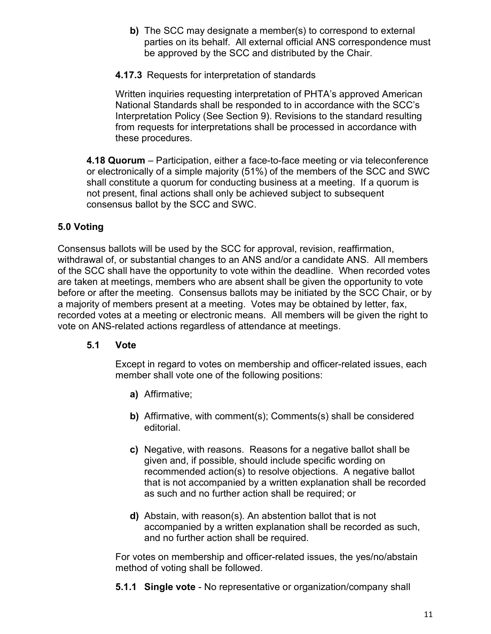b) The SCC may designate a member(s) to correspond to external parties on its behalf. All external official ANS correspondence must be approved by the SCC and distributed by the Chair.

## 4.17.3 Requests for interpretation of standards

Written inquiries requesting interpretation of PHTA's approved American National Standards shall be responded to in accordance with the SCC's Interpretation Policy (See Section 9). Revisions to the standard resulting from requests for interpretations shall be processed in accordance with these procedures.

4.18 Quorum – Participation, either a face-to-face meeting or via teleconference or electronically of a simple majority (51%) of the members of the SCC and SWC shall constitute a quorum for conducting business at a meeting. If a quorum is not present, final actions shall only be achieved subject to subsequent consensus ballot by the SCC and SWC.

#### 5.0 Voting

Consensus ballots will be used by the SCC for approval, revision, reaffirmation, withdrawal of, or substantial changes to an ANS and/or a candidate ANS. All members of the SCC shall have the opportunity to vote within the deadline. When recorded votes are taken at meetings, members who are absent shall be given the opportunity to vote before or after the meeting. Consensus ballots may be initiated by the SCC Chair, or by a majority of members present at a meeting. Votes may be obtained by letter, fax, recorded votes at a meeting or electronic means. All members will be given the right to vote on ANS-related actions regardless of attendance at meetings.

#### 5.1 Vote

Except in regard to votes on membership and officer-related issues, each member shall vote one of the following positions:

- a) Affirmative;
- b) Affirmative, with comment(s); Comments(s) shall be considered editorial.
- c) Negative, with reasons. Reasons for a negative ballot shall be given and, if possible, should include specific wording on recommended action(s) to resolve objections. A negative ballot that is not accompanied by a written explanation shall be recorded as such and no further action shall be required; or
- d) Abstain, with reason(s). An abstention ballot that is not accompanied by a written explanation shall be recorded as such, and no further action shall be required.

For votes on membership and officer-related issues, the yes/no/abstain method of voting shall be followed.

**5.1.1 Single vote** - No representative or organization/company shall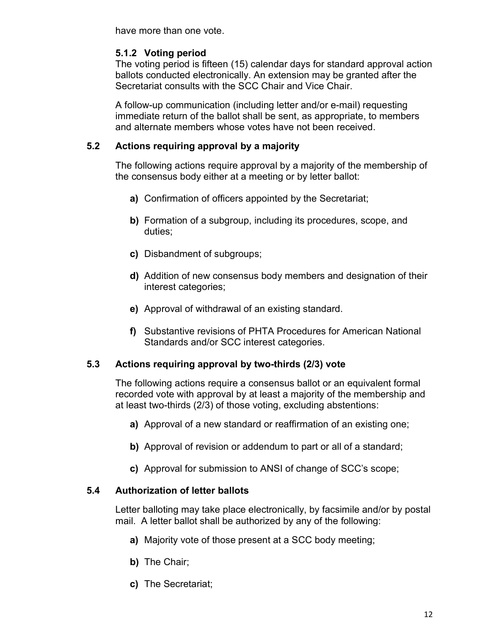have more than one vote.

#### 5.1.2 Voting period

The voting period is fifteen (15) calendar days for standard approval action ballots conducted electronically. An extension may be granted after the Secretariat consults with the SCC Chair and Vice Chair.

A follow-up communication (including letter and/or e-mail) requesting immediate return of the ballot shall be sent, as appropriate, to members and alternate members whose votes have not been received.

#### 5.2 Actions requiring approval by a majority

The following actions require approval by a majority of the membership of the consensus body either at a meeting or by letter ballot:

- a) Confirmation of officers appointed by the Secretariat;
- b) Formation of a subgroup, including its procedures, scope, and duties;
- c) Disbandment of subgroups;
- d) Addition of new consensus body members and designation of their interest categories;
- e) Approval of withdrawal of an existing standard.
- f) Substantive revisions of PHTA Procedures for American National Standards and/or SCC interest categories.

## 5.3 Actions requiring approval by two-thirds (2/3) vote

The following actions require a consensus ballot or an equivalent formal recorded vote with approval by at least a majority of the membership and at least two-thirds (2/3) of those voting, excluding abstentions:

- a) Approval of a new standard or reaffirmation of an existing one;
- b) Approval of revision or addendum to part or all of a standard;
- c) Approval for submission to ANSI of change of SCC's scope;

## 5.4 Authorization of letter ballots

Letter balloting may take place electronically, by facsimile and/or by postal mail. A letter ballot shall be authorized by any of the following:

- a) Majority vote of those present at a SCC body meeting;
- b) The Chair;
- c) The Secretariat;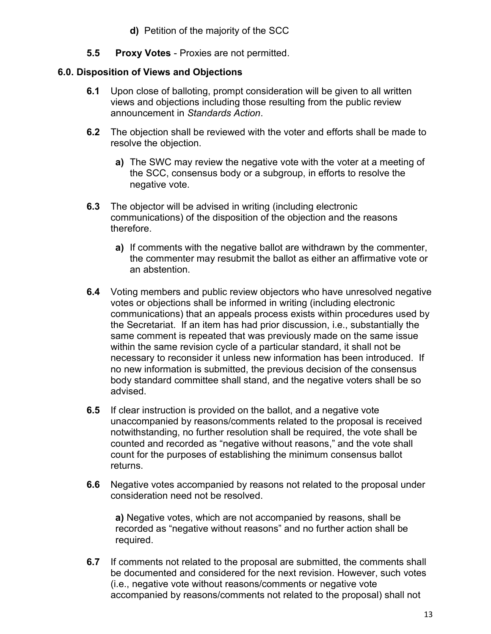d) Petition of the majority of the SCC

## **5.5 Proxy Votes - Proxies are not permitted.**

#### 6.0. Disposition of Views and Objections

- 6.1 Upon close of balloting, prompt consideration will be given to all written views and objections including those resulting from the public review announcement in Standards Action.
- **6.2** The objection shall be reviewed with the voter and efforts shall be made to resolve the objection.
	- a) The SWC may review the negative vote with the voter at a meeting of the SCC, consensus body or a subgroup, in efforts to resolve the negative vote.
- 6.3 The objector will be advised in writing (including electronic communications) of the disposition of the objection and the reasons therefore.
	- a) If comments with the negative ballot are withdrawn by the commenter, the commenter may resubmit the ballot as either an affirmative vote or an abstention.
- 6.4 Voting members and public review objectors who have unresolved negative votes or objections shall be informed in writing (including electronic communications) that an appeals process exists within procedures used by the Secretariat. If an item has had prior discussion, i.e., substantially the same comment is repeated that was previously made on the same issue within the same revision cycle of a particular standard, it shall not be necessary to reconsider it unless new information has been introduced. If no new information is submitted, the previous decision of the consensus body standard committee shall stand, and the negative voters shall be so advised.
- 6.5 If clear instruction is provided on the ballot, and a negative vote unaccompanied by reasons/comments related to the proposal is received notwithstanding, no further resolution shall be required, the vote shall be counted and recorded as "negative without reasons," and the vote shall count for the purposes of establishing the minimum consensus ballot returns.
- **6.6** Negative votes accompanied by reasons not related to the proposal under consideration need not be resolved.

a) Negative votes, which are not accompanied by reasons, shall be recorded as "negative without reasons" and no further action shall be required.

6.7 If comments not related to the proposal are submitted, the comments shall be documented and considered for the next revision. However, such votes (i.e., negative vote without reasons/comments or negative vote accompanied by reasons/comments not related to the proposal) shall not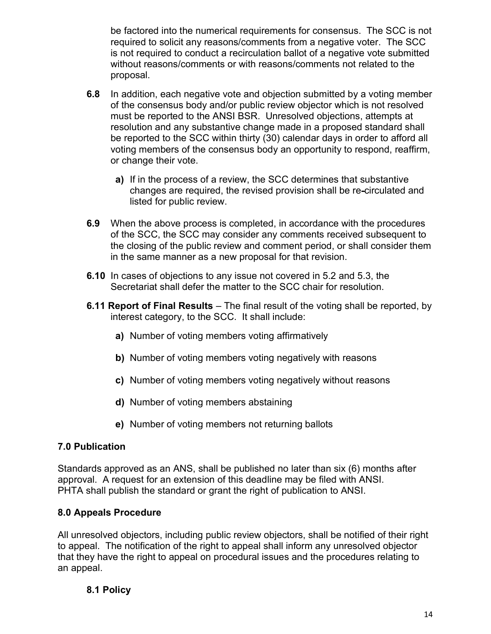be factored into the numerical requirements for consensus. The SCC is not required to solicit any reasons/comments from a negative voter. The SCC is not required to conduct a recirculation ballot of a negative vote submitted without reasons/comments or with reasons/comments not related to the proposal.

- 6.8 In addition, each negative vote and objection submitted by a voting member of the consensus body and/or public review objector which is not resolved must be reported to the ANSI BSR. Unresolved objections, attempts at resolution and any substantive change made in a proposed standard shall be reported to the SCC within thirty (30) calendar days in order to afford all voting members of the consensus body an opportunity to respond, reaffirm, or change their vote.
	- a) If in the process of a review, the SCC determines that substantive changes are required, the revised provision shall be re-circulated and listed for public review.
- 6.9 When the above process is completed, in accordance with the procedures of the SCC, the SCC may consider any comments received subsequent to the closing of the public review and comment period, or shall consider them in the same manner as a new proposal for that revision.
- 6.10 In cases of objections to any issue not covered in 5.2 and 5.3, the Secretariat shall defer the matter to the SCC chair for resolution.
- **6.11 Report of Final Results** The final result of the voting shall be reported, by interest category, to the SCC. It shall include:
	- a) Number of voting members voting affirmatively
	- b) Number of voting members voting negatively with reasons
	- c) Number of voting members voting negatively without reasons
	- d) Number of voting members abstaining
	- e) Number of voting members not returning ballots

## 7.0 Publication

Standards approved as an ANS, shall be published no later than six (6) months after approval. A request for an extension of this deadline may be filed with ANSI. PHTA shall publish the standard or grant the right of publication to ANSI.

## 8.0 Appeals Procedure

All unresolved objectors, including public review objectors, shall be notified of their right to appeal. The notification of the right to appeal shall inform any unresolved objector that they have the right to appeal on procedural issues and the procedures relating to an appeal.

# 8.1 Policy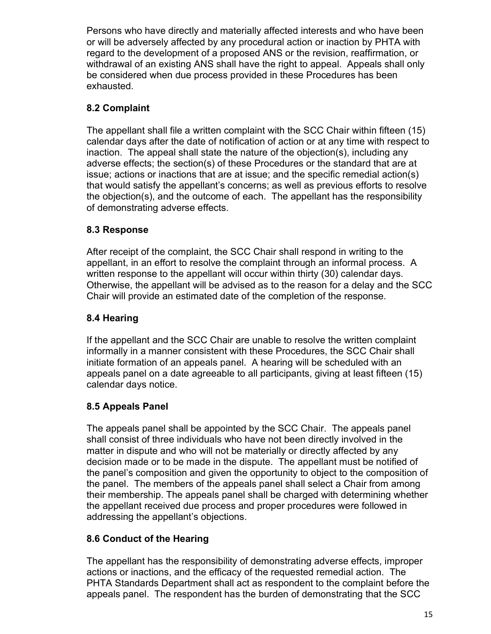Persons who have directly and materially affected interests and who have been or will be adversely affected by any procedural action or inaction by PHTA with regard to the development of a proposed ANS or the revision, reaffirmation, or withdrawal of an existing ANS shall have the right to appeal. Appeals shall only be considered when due process provided in these Procedures has been exhausted.

# 8.2 Complaint

The appellant shall file a written complaint with the SCC Chair within fifteen (15) calendar days after the date of notification of action or at any time with respect to inaction. The appeal shall state the nature of the objection(s), including any adverse effects; the section(s) of these Procedures or the standard that are at issue; actions or inactions that are at issue; and the specific remedial action(s) that would satisfy the appellant's concerns; as well as previous efforts to resolve the objection(s), and the outcome of each. The appellant has the responsibility of demonstrating adverse effects.

# 8.3 Response

After receipt of the complaint, the SCC Chair shall respond in writing to the appellant, in an effort to resolve the complaint through an informal process. A written response to the appellant will occur within thirty (30) calendar days. Otherwise, the appellant will be advised as to the reason for a delay and the SCC Chair will provide an estimated date of the completion of the response.

# 8.4 Hearing

If the appellant and the SCC Chair are unable to resolve the written complaint informally in a manner consistent with these Procedures, the SCC Chair shall initiate formation of an appeals panel. A hearing will be scheduled with an appeals panel on a date agreeable to all participants, giving at least fifteen (15) calendar days notice.

# 8.5 Appeals Panel

The appeals panel shall be appointed by the SCC Chair. The appeals panel shall consist of three individuals who have not been directly involved in the matter in dispute and who will not be materially or directly affected by any decision made or to be made in the dispute. The appellant must be notified of the panel's composition and given the opportunity to object to the composition of the panel. The members of the appeals panel shall select a Chair from among their membership. The appeals panel shall be charged with determining whether the appellant received due process and proper procedures were followed in addressing the appellant's objections.

# 8.6 Conduct of the Hearing

The appellant has the responsibility of demonstrating adverse effects, improper actions or inactions, and the efficacy of the requested remedial action. The PHTA Standards Department shall act as respondent to the complaint before the appeals panel. The respondent has the burden of demonstrating that the SCC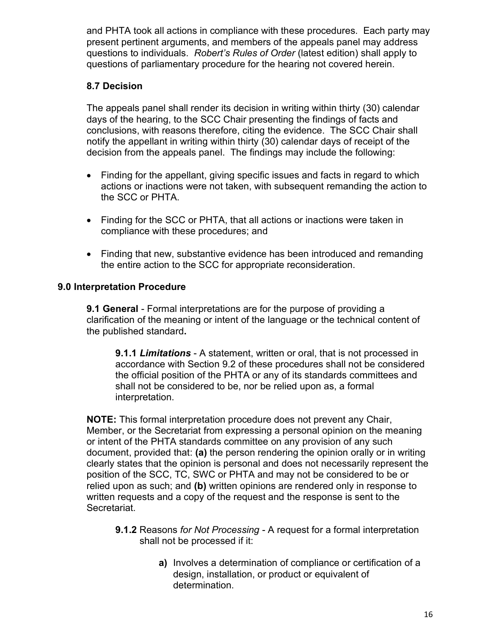and PHTA took all actions in compliance with these procedures. Each party may present pertinent arguments, and members of the appeals panel may address questions to individuals. Robert's Rules of Order (latest edition) shall apply to questions of parliamentary procedure for the hearing not covered herein.

## 8.7 Decision

The appeals panel shall render its decision in writing within thirty (30) calendar days of the hearing, to the SCC Chair presenting the findings of facts and conclusions, with reasons therefore, citing the evidence. The SCC Chair shall notify the appellant in writing within thirty (30) calendar days of receipt of the decision from the appeals panel. The findings may include the following:

- Finding for the appellant, giving specific issues and facts in regard to which actions or inactions were not taken, with subsequent remanding the action to the SCC or PHTA.
- Finding for the SCC or PHTA, that all actions or inactions were taken in compliance with these procedures; and
- Finding that new, substantive evidence has been introduced and remanding the entire action to the SCC for appropriate reconsideration.

## 9.0 Interpretation Procedure

**9.1 General** - Formal interpretations are for the purpose of providing a clarification of the meaning or intent of the language or the technical content of the published standard.

**9.1.1 Limitations - A statement, written or oral, that is not processed in** accordance with Section 9.2 of these procedures shall not be considered the official position of the PHTA or any of its standards committees and shall not be considered to be, nor be relied upon as, a formal interpretation.

NOTE: This formal interpretation procedure does not prevent any Chair, Member, or the Secretariat from expressing a personal opinion on the meaning or intent of the PHTA standards committee on any provision of any such document, provided that: (a) the person rendering the opinion orally or in writing clearly states that the opinion is personal and does not necessarily represent the position of the SCC, TC, SWC or PHTA and may not be considered to be or relied upon as such; and (b) written opinions are rendered only in response to written requests and a copy of the request and the response is sent to the Secretariat.

- 9.1.2 Reasons for Not Processing A request for a formal interpretation shall not be processed if it:
	- a) Involves a determination of compliance or certification of a design, installation, or product or equivalent of determination.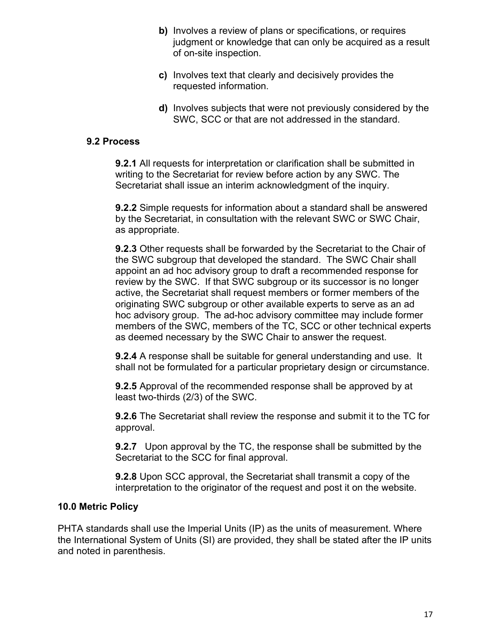- b) Involves a review of plans or specifications, or requires judgment or knowledge that can only be acquired as a result of on-site inspection.
- c) Involves text that clearly and decisively provides the requested information.
- d) Involves subjects that were not previously considered by the SWC, SCC or that are not addressed in the standard.

#### 9.2 Process

9.2.1 All requests for interpretation or clarification shall be submitted in writing to the Secretariat for review before action by any SWC. The Secretariat shall issue an interim acknowledgment of the inquiry.

**9.2.2** Simple requests for information about a standard shall be answered by the Secretariat, in consultation with the relevant SWC or SWC Chair, as appropriate.

9.2.3 Other requests shall be forwarded by the Secretariat to the Chair of the SWC subgroup that developed the standard. The SWC Chair shall appoint an ad hoc advisory group to draft a recommended response for review by the SWC. If that SWC subgroup or its successor is no longer active, the Secretariat shall request members or former members of the originating SWC subgroup or other available experts to serve as an ad hoc advisory group. The ad-hoc advisory committee may include former members of the SWC, members of the TC, SCC or other technical experts as deemed necessary by the SWC Chair to answer the request.

**9.2.4** A response shall be suitable for general understanding and use. It shall not be formulated for a particular proprietary design or circumstance.

**9.2.5** Approval of the recommended response shall be approved by at least two-thirds (2/3) of the SWC.

9.2.6 The Secretariat shall review the response and submit it to the TC for approval.

**9.2.7** Upon approval by the TC, the response shall be submitted by the Secretariat to the SCC for final approval.

9.2.8 Upon SCC approval, the Secretariat shall transmit a copy of the interpretation to the originator of the request and post it on the website.

#### 10.0 Metric Policy

PHTA standards shall use the Imperial Units (IP) as the units of measurement. Where the International System of Units (SI) are provided, they shall be stated after the IP units and noted in parenthesis.